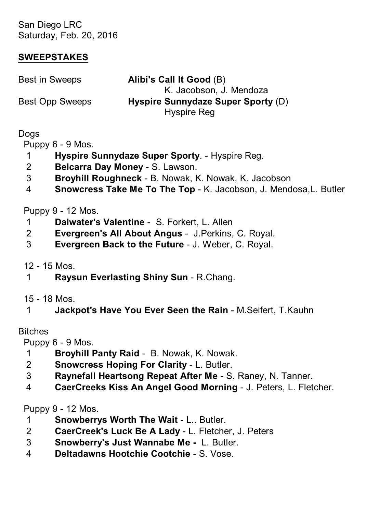San Diego LRC Saturday, Feb. 20, 2016

### **SWEEPSTAKES**

| Best in Sweeps  | Alibi's Call It Good (B)           |
|-----------------|------------------------------------|
|                 | K. Jacobson. J. Mendoza            |
| Best Opp Sweeps | Hyspire Sunnydaze Super Sporty (D) |
|                 | Hyspire Reg                        |
|                 |                                    |

### **Dogs**

Puppy 6 - 9 Mos.

- 1 **Hyspire Sunnydaze Super Sporty**. Hyspire Reg.
- 2 **Belcarra Day Money** S. Lawson.
- 3 **Broyhill Roughneck** B. Nowak, K. Nowak, K. Jacobson
- 4 **Snowcress Take Me To The Top** K. Jacobson, J. Mendosa,L. Butler

# Puppy 9 - 12 Mos.

- 1 **Dalwater's Valentine** S. Forkert, L. Allen
- 2 **Evergreen's All About Angus** J.Perkins, C. Royal.
- 3 **Evergreen Back to the Future** J. Weber, C. Royal.

12 - 15 Mos.

- 1 **Raysun Everlasting Shiny Sun** R.Chang.
- 15 18 Mos.
- 1 **Jackpot's Have You Ever Seen the Rain** M.Seifert, T.Kauhn

#### Bitches

Puppy 6 - 9 Mos.

- 1 **Broyhill Panty Raid** B. Nowak, K. Nowak.
- 2 **Snowcress Hoping For Clarity** L. Butler.
- 3 **Raynefall Heartsong Repeat After Me** S. Raney, N. Tanner.
- 4 **CaerCreeks Kiss An Angel Good Morning** J. Peters, L. Fletcher.

Puppy 9 - 12 Mos.

- 1 **Snowberrys Worth The Wait** L.. Butler.
- 2 **CaerCreek's Luck Be A Lady** L. Fletcher, J. Peters
- 3 **Snowberry's Just Wannabe Me** L. Butler.
- 4 **Deltadawns Hootchie Cootchie** S. Vose.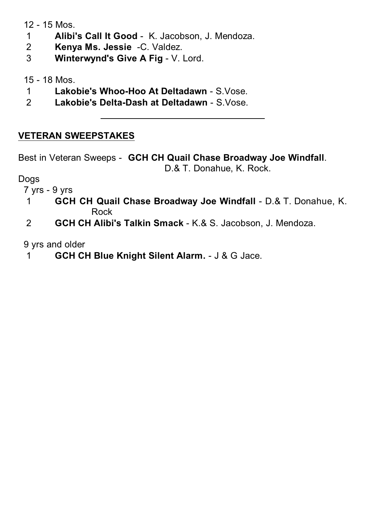12 - 15 Mos.

- 1 **Alibi's Call It Good** K. Jacobson, J. Mendoza.
- 2 **Kenya Ms. Jessie** -C. Valdez.
- 3 **Winterwynd's Give A Fig** V. Lord.

15 - 18 Mos.

- 1 **Lakobie's Whoo-Hoo At Deltadawn** S.Vose.
- 2 **Lakobie's Delta-Dash at Deltadawn** S.Vose.

### **VETERAN SWEEPSTAKES**

Best in Veteran Sweeps - **GCH CH Quail Chase Broadway Joe Windfall**. D.& T. Donahue, K. Rock.

Dogs

7 yrs - 9 yrs

- 1 **GCH CH Quail Chase Broadway Joe Windfall** D.& T. Donahue, K. Rock
- 2 **GCH CH Alibi's Talkin Smack** K.& S. Jacobson, J. Mendoza.

9 yrs and older

1 **GCH CH Blue Knight Silent Alarm.** - J & G Jace.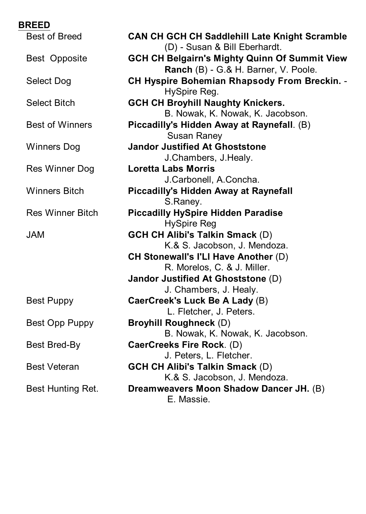| <b>BREED</b> |                         |                                                                                              |
|--------------|-------------------------|----------------------------------------------------------------------------------------------|
|              | <b>Best of Breed</b>    | <b>CAN CH GCH CH Saddlehill Late Knight Scramble</b><br>(D) - Susan & Bill Eberhardt.        |
|              | Best Opposite           | <b>GCH CH Belgairn's Mighty Quinn Of Summit View</b><br>Ranch (B) - G.& H. Barner, V. Poole. |
|              | Select Dog              | <b>CH Hyspire Bohemian Rhapsody From Breckin. -</b><br>HySpire Reg.                          |
|              | Select Bitch            | <b>GCH CH Broyhill Naughty Knickers.</b><br>B. Nowak, K. Nowak, K. Jacobson.                 |
|              | <b>Best of Winners</b>  | Piccadilly's Hidden Away at Raynefall. (B)<br>Susan Raney                                    |
|              | <b>Winners Dog</b>      | <b>Jandor Justified At Ghoststone</b><br>J.Chambers, J.Healy.                                |
|              | Res Winner Dog          | Loretta Labs Morris<br>J.Carbonell, A.Concha.                                                |
|              | <b>Winners Bitch</b>    | Piccadilly's Hidden Away at Raynefall<br>S.Raney.                                            |
|              | <b>Res Winner Bitch</b> | <b>Piccadilly HySpire Hidden Paradise</b><br>HySpire Reg                                     |
| <b>JAM</b>   |                         | <b>GCH CH Alibi's Talkin Smack (D)</b><br>K.& S. Jacobson, J. Mendoza.                       |
|              |                         | <b>CH Stonewall's I'LI Have Another (D)</b><br>R. Morelos, C. & J. Miller.                   |
|              |                         | Jandor Justified At Ghoststone (D)                                                           |
|              | <b>Best Puppy</b>       | J. Chambers, J. Healy.<br>CaerCreek's Luck Be A Lady (B)                                     |
|              | Best Opp Puppy          | L. Fletcher, J. Peters.<br><b>Broyhill Roughneck (D)</b>                                     |
|              | Best Bred-By            | B. Nowak, K. Nowak, K. Jacobson.<br>CaerCreeks Fire Rock. (D)                                |
|              | <b>Best Veteran</b>     | J. Peters, L. Fletcher.<br><b>GCH CH Alibi's Talkin Smack (D)</b>                            |
|              | Best Hunting Ret.       | K.& S. Jacobson, J. Mendoza.<br>Dreamweavers Moon Shadow Dancer JH. (B)<br>E. Massie.        |
|              |                         |                                                                                              |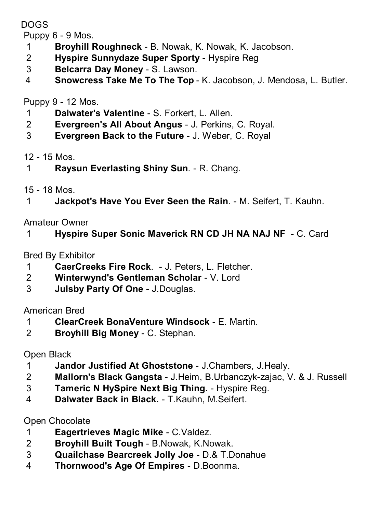DOGS

Puppy 6 - 9 Mos.

- **Broyhill Roughneck** B. Nowak, K. Nowak, K. Jacobson.
- **Hyspire Sunnydaze Super Sporty** Hyspire Reg
- **Belcarra Day Money** S. Lawson.
- **Snowcress Take Me To The Top** K. Jacobson, J. Mendosa, L. Butler.

Puppy 9 - 12 Mos.

- **Dalwater's Valentine** S. Forkert, L. Allen.
- **Evergreen's All About Angus** J. Perkins, C. Royal.
- **Evergreen Back to the Future** J. Weber, C. Royal

### 12 - 15 Mos.

- **Raysun Everlasting Shiny Sun**. R. Chang.
- 15 18 Mos.
- **Jackpot's Have You Ever Seen the Rain**. M. Seifert, T. Kauhn.

Amateur Owner

**Hyspire Super Sonic Maverick RN CD JH NA NAJ NF** - C. Card

Bred By Exhibitor

- **CaerCreeks Fire Rock**. J. Peters, L. Fletcher.
- **Winterwynd's Gentleman Scholar** V. Lord
- **Julsby Party Of One** J.Douglas.

American Bred

- **ClearCreek BonaVenture Windsock** E. Martin.
- **Broyhill Big Money** C. Stephan.

Open Black

- **Jandor Justified At Ghoststone** J.Chambers, J.Healy.
- **Mallorn's Black Gangsta** J.Heim, B.Urbanczyk-zajac, V. & J. Russell
- **Tameric N HySpire Next Big Thing.** Hyspire Reg.
- **Dalwater Back in Black.** T.Kauhn, M.Seifert.

Open Chocolate

- **Eagertrieves Magic Mike** C.Valdez.
- **Broyhill Built Tough** B.Nowak, K.Nowak.
- **Quailchase Bearcreek Jolly Joe** D.& T.Donahue
- **Thornwood's Age Of Empires** D.Boonma.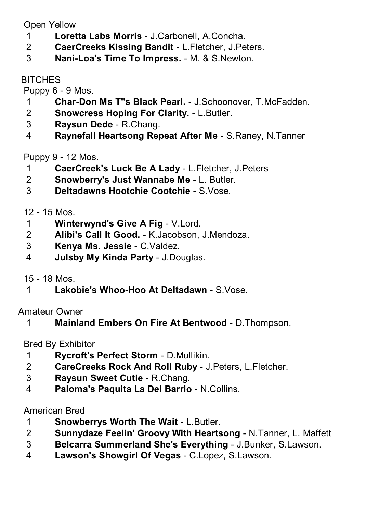Open Yellow

- **Loretta Labs Morris** J.Carbonell, A.Concha.
- **CaerCreeks Kissing Bandit** L.Fletcher, J.Peters.
- **Nani-Loa's Time To Impress.** M. & S.Newton.

**BITCHES** 

Puppy 6 - 9 Mos.

- **Char-Don Ms T''s Black Pearl.** J.Schoonover, T.McFadden.
- **Snowcress Hoping For Clarity.** L.Butler.
- **Raysun Dede** R.Chang.
- **Raynefall Heartsong Repeat After Me** S.Raney, N.Tanner

Puppy 9 - 12 Mos.

- **CaerCreek's Luck Be A Lady** L.Fletcher, J.Peters
- **Snowberry's Just Wannabe Me** L. Butler.
- **Deltadawns Hootchie Cootchie** S.Vose.

12 - 15 Mos.

- **Winterwynd's Give A Fig** V.Lord.
- **Alibi's Call It Good.** K.Jacobson, J.Mendoza.
- **Kenya Ms. Jessie** C.Valdez.
- **Julsby My Kinda Party** J.Douglas.
- 15 18 Mos.
- **Lakobie's Whoo-Hoo At Deltadawn** S.Vose.

Amateur Owner

**Mainland Embers On Fire At Bentwood** - D.Thompson.

Bred By Exhibitor

- **Rycroft's Perfect Storm** D.Mullikin.
- **CareCreeks Rock And Roll Ruby** J.Peters, L.Fletcher.
- **Raysun Sweet Cutie** R.Chang.
- **Paloma's Paquita La Del Barrio** N.Collins.

# American Bred

- **Snowberrys Worth The Wait** L.Butler.
- **Sunnydaze Feelin' Groovy With Heartsong** N.Tanner, L. Maffett
- **Belcarra Summerland She's Everything** J.Bunker, S.Lawson.
- **Lawson's Showgirl Of Vegas** C.Lopez, S.Lawson.